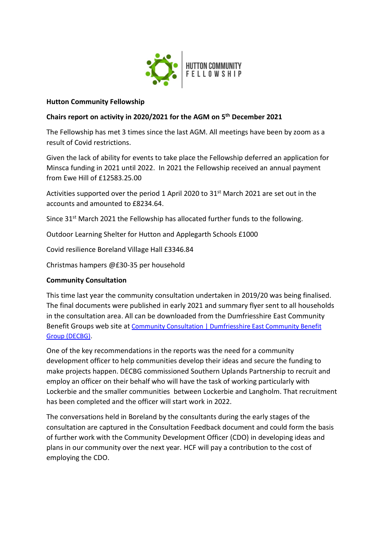

### **Hutton Community Fellowship**

# **Chairs report on activity in 2020/2021 for the AGM on 5th December 2021**

The Fellowship has met 3 times since the last AGM. All meetings have been by zoom as a result of Covid restrictions.

Given the lack of ability for events to take place the Fellowship deferred an application for Minsca funding in 2021 until 2022. In 2021 the Fellowship received an annual payment from Ewe Hill of £12583.25.00

Activities supported over the period 1 April 2020 to 31<sup>st</sup> March 2021 are set out in the accounts and amounted to £8234.64.

Since 31<sup>st</sup> March 2021 the Fellowship has allocated further funds to the following.

Outdoor Learning Shelter for Hutton and Applegarth Schools £1000

Covid resilience Boreland Village Hall £3346.84

Christmas hampers @£30-35 per household

# **Community Consultation**

This time last year the community consultation undertaken in 2019/20 was being finalised. The final documents were published in early 2021 and summary flyer sent to all households in the consultation area. All can be downloaded from the Dumfriesshire East Community Benefit Groups web site at Community Consultation | Dumfriesshire East Community Benefit [Group \(DECBG\).](https://www.decbg.org.uk/community-consultation/)

One of the key recommendations in the reports was the need for a community development officer to help communities develop their ideas and secure the funding to make projects happen. DECBG commissioned Southern Uplands Partnership to recruit and employ an officer on their behalf who will have the task of working particularly with Lockerbie and the smaller communities between Lockerbie and Langholm. That recruitment has been completed and the officer will start work in 2022.

The conversations held in Boreland by the consultants during the early stages of the consultation are captured in the Consultation Feedback document and could form the basis of further work with the Community Development Officer (CDO) in developing ideas and plans in our community over the next year. HCF will pay a contribution to the cost of employing the CDO.